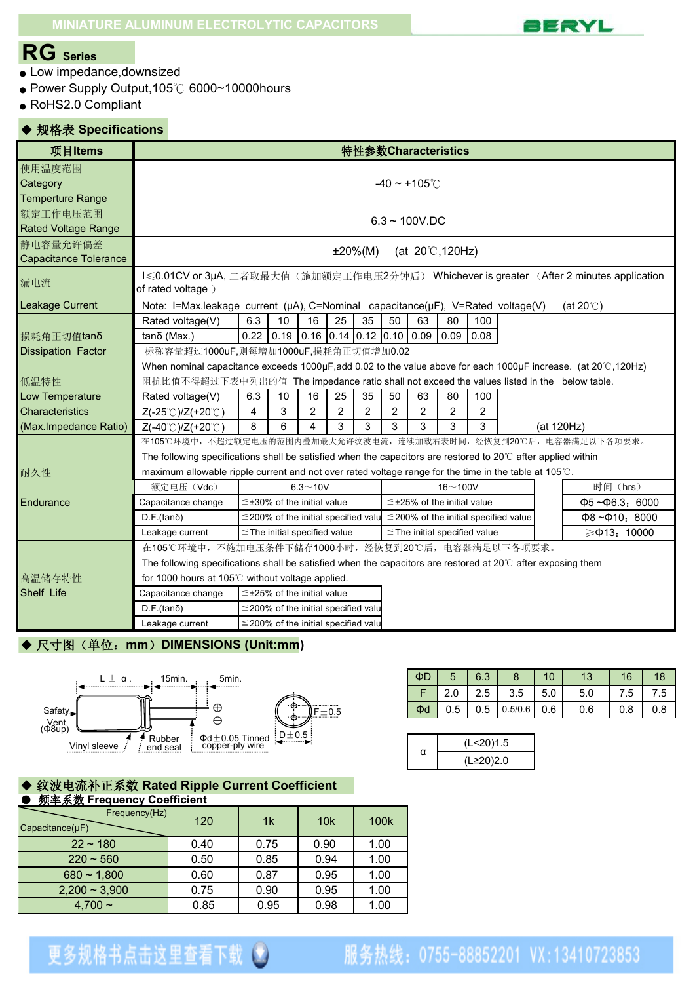

## **RG Series**

- Low impedance, downsized
- Power Supply Output, 105℃ 6000~10000hours
- RoHS2.0 Compliant

### ◆ 规格表 **Specifications**

| 项目Items                                       | 特性参数Characteristics                                                                                                                                                                                                                                                                                                                           |                                                                                                                                                                 |                                           |                |    |                |                                  |                                                                                                                                                        |                |                |  |            |                            |
|-----------------------------------------------|-----------------------------------------------------------------------------------------------------------------------------------------------------------------------------------------------------------------------------------------------------------------------------------------------------------------------------------------------|-----------------------------------------------------------------------------------------------------------------------------------------------------------------|-------------------------------------------|----------------|----|----------------|----------------------------------|--------------------------------------------------------------------------------------------------------------------------------------------------------|----------------|----------------|--|------------|----------------------------|
| 使用温度范围<br>Category<br><b>Temperture Range</b> | $-40 \sim +105^{\circ}$                                                                                                                                                                                                                                                                                                                       |                                                                                                                                                                 |                                           |                |    |                |                                  |                                                                                                                                                        |                |                |  |            |                            |
| 额定工作电压范围<br>Rated Voltage Range               | $6.3 \sim 100$ V.DC                                                                                                                                                                                                                                                                                                                           |                                                                                                                                                                 |                                           |                |    |                |                                  |                                                                                                                                                        |                |                |  |            |                            |
| 静电容量允许偏差<br>Capacitance Tolerance             | (at $20^{\circ}$ C, 120Hz)<br>$±20\%(M)$                                                                                                                                                                                                                                                                                                      |                                                                                                                                                                 |                                           |                |    |                |                                  |                                                                                                                                                        |                |                |  |            |                            |
| 漏电流                                           | I < 0.01CV or 3μA, 二者取最大值(施加额定工作电压2分钟后) Whichever is greater (After 2 minutes application<br>of rated voltage)                                                                                                                                                                                                                                |                                                                                                                                                                 |                                           |                |    |                |                                  |                                                                                                                                                        |                |                |  |            |                            |
| <b>Leakage Current</b>                        | Note: I=Max.leakage current (µA), C=Nominal capacitance(µF), V=Rated voltage(V)<br>(at $20^{\circ}$ C)                                                                                                                                                                                                                                        |                                                                                                                                                                 |                                           |                |    |                |                                  |                                                                                                                                                        |                |                |  |            |                            |
| 损耗角正切值tanδ<br><b>Dissipation Factor</b>       | 50<br>Rated voltage(V)<br>6.3<br>10<br>16<br>25<br>35<br>63<br>80<br>100<br>$0.22$ 0.19<br>$0.16$ 0.14 0.12 0.10 0.09<br>$0.09 \, 0.08$<br>$tan\delta$ (Max.)<br>标称容量超过1000uF,则每增加1000uF,损耗角正切值增加0.02<br>When nominal capacitance exceeds 1000 $\mu$ F, add 0.02 to the value above for each 1000 $\mu$ F increase. (at 20 $\degree$ , 120Hz) |                                                                                                                                                                 |                                           |                |    |                |                                  |                                                                                                                                                        |                |                |  |            |                            |
| 低温特性                                          | 阻抗比值不得超过下表中列出的值 The impedance ratio shall not exceed the values listed in the below table.                                                                                                                                                                                                                                                    |                                                                                                                                                                 |                                           |                |    |                |                                  |                                                                                                                                                        |                |                |  |            |                            |
| Low Temperature                               | Rated voltage(V)                                                                                                                                                                                                                                                                                                                              | 6.3                                                                                                                                                             | 10                                        | 16             | 25 | 35             | 50                               | 63                                                                                                                                                     | 80             | 100            |  |            |                            |
| Characteristics                               | $Z(-25^{\circ}$ C)/Z(+20 $^{\circ}$ C)                                                                                                                                                                                                                                                                                                        | 4                                                                                                                                                               | 3                                         | $\overline{2}$ | 2  | $\overline{2}$ | $\overline{2}$                   | $\overline{2}$                                                                                                                                         | $\overline{2}$ | $\overline{2}$ |  |            |                            |
| (Max.Impedance Ratio)                         | Z(-40°C)/Z(+20°C)                                                                                                                                                                                                                                                                                                                             | 8                                                                                                                                                               | 6                                         | 4              | 3  | 3              | 3                                | 3                                                                                                                                                      | 3              | 3              |  | (at 120Hz) |                            |
| 耐久性                                           | 在105℃环境中,不超过额定电压的范围内叠加最大允许纹波电流,连续加载右表时间,经恢复到20℃后,电容器满足以下各项要求。<br>The following specifications shall be satisfied when the capacitors are restored to 20 $\degree$ after applied within<br>maximum allowable ripple current and not over rated voltage range for the time in the table at 105°C.<br>额定电压 (Vdc)                                 |                                                                                                                                                                 |                                           | $6.3 - 10V$    |    |                |                                  |                                                                                                                                                        | $16 - 100V$    |                |  |            | 时间(hrs)                    |
| Endurance                                     | Capacitance change                                                                                                                                                                                                                                                                                                                            |                                                                                                                                                                 | $\leq \pm 30\%$ of the initial value      |                |    |                | $\leq$ ±25% of the initial value |                                                                                                                                                        |                |                |  |            | $\Phi$ 5~ $\Phi$ 6.3: 6000 |
|                                               | $D.F.(tan\delta)$                                                                                                                                                                                                                                                                                                                             |                                                                                                                                                                 |                                           |                |    |                |                                  | $\leq$ 200% of the initial specified valu $\leq$ 200% of the initial specified value<br>$\Phi$ 8~ $\Phi$ 10: 8000<br>$\le$ The initial specified value |                |                |  |            |                            |
|                                               | Leakage current                                                                                                                                                                                                                                                                                                                               |                                                                                                                                                                 | $\le$ The initial specified value         |                |    |                |                                  |                                                                                                                                                        |                |                |  |            | ≥Ф13: 10000                |
|                                               |                                                                                                                                                                                                                                                                                                                                               | 在105℃环境中,不施加电压条件下储存1000小时,经恢复到20℃后,电容器满足以下各项要求。<br>The following specifications shall be satisfied when the capacitors are restored at 20°C after exposing them |                                           |                |    |                |                                  |                                                                                                                                                        |                |                |  |            |                            |
| 高温储存特性                                        | for 1000 hours at 105°C without voltage applied.                                                                                                                                                                                                                                                                                              |                                                                                                                                                                 |                                           |                |    |                |                                  |                                                                                                                                                        |                |                |  |            |                            |
| Shelf Life                                    | Capacitance change                                                                                                                                                                                                                                                                                                                            |                                                                                                                                                                 | $\leq$ ±25% of the initial value          |                |    |                |                                  |                                                                                                                                                        |                |                |  |            |                            |
|                                               | $D.F.(tan\delta)$                                                                                                                                                                                                                                                                                                                             |                                                                                                                                                                 | $\leq$ 200% of the initial specified valu |                |    |                |                                  |                                                                                                                                                        |                |                |  |            |                            |
|                                               | Leakage current                                                                                                                                                                                                                                                                                                                               |                                                                                                                                                                 | $\leq$ 200% of the initial specified valu |                |    |                |                                  |                                                                                                                                                        |                |                |  |            |                            |
|                                               |                                                                                                                                                                                                                                                                                                                                               |                                                                                                                                                                 |                                           |                |    |                |                                  |                                                                                                                                                        |                |                |  |            |                            |

### ◆ 尺寸图(单位: mm) DIMENSIONS (Unit:mm)



| ΦD  |     | $5 \mid 6.3$ | 8                     | 10  |     |     |     |
|-----|-----|--------------|-----------------------|-----|-----|-----|-----|
| -F. |     |              | 2.0   2.5   3.5   5.0 |     | 5.0 | 7.5 | 7.5 |
| Φd  | 0.5 |              | J.5/0.6               | 0.6 | 0.6 | 0.8 | 0.8 |

| (L<20)1.5 |
|-----------|
| (L≥20)2.0 |

#### ◆ 纹波电流补正系数 **Rated Ripple Current Coefficient** ● 频率系数 **Frequency Coefficient**

| Frequency(Hz)<br>$Capacitance(\mu F)$ | 120  | 1 <sup>k</sup> | 10k  | 100k |
|---------------------------------------|------|----------------|------|------|
| $22 \sim 180$                         | 0.40 | 0.75           | 0.90 | 1.00 |
| $220 \sim 560$                        | 0.50 | 0.85           | 0.94 | 1.00 |
| $680 \sim 1,800$                      | 0.60 | 0.87           | 0.95 | 1.00 |
| $2,200 \sim 3,900$                    | 0.75 | 0.90           | 0.95 | 1.00 |
| $4,700 \sim$                          | 0.85 | 0.95           | 0.98 | 1.00 |

# 更多规格书点击这里查看下载 3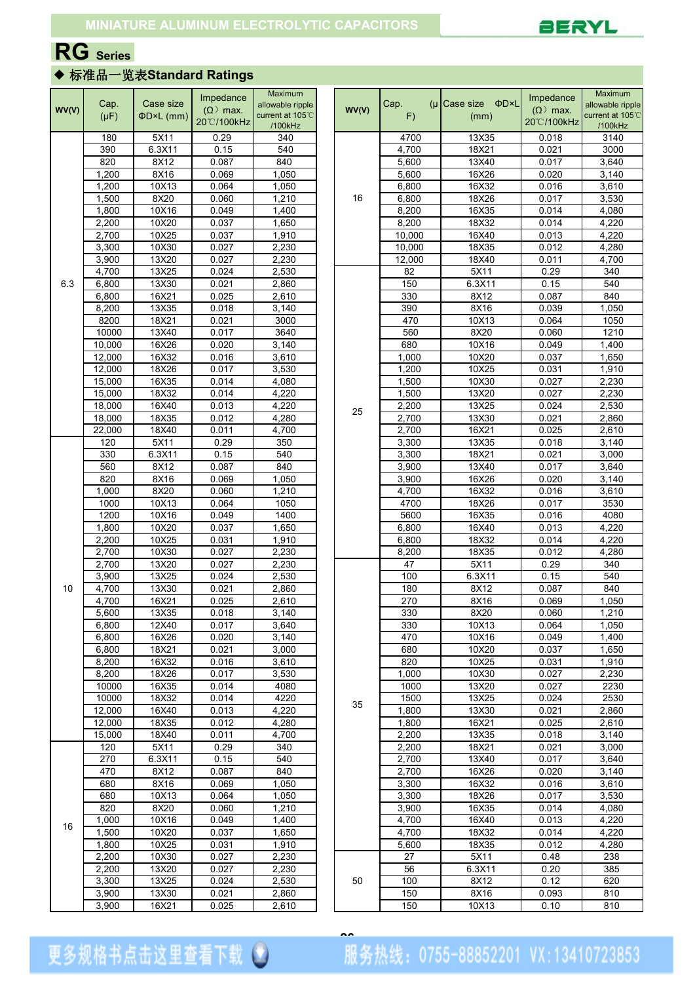

## **RG Series**

## ◆ 标准品一览表**Standard Ratings**

|       |           |           | Impedance       | Maximum          |  |       |        |                              | Impedance       | Maximum          |
|-------|-----------|-----------|-----------------|------------------|--|-------|--------|------------------------------|-----------------|------------------|
| WV(V) | Cap.      | Case size | $(\Omega)$ max. | allowable ripple |  | WV(V) | Cap.   | $(\mu)$ Case size $\Phi$ D×L | $(\Omega)$ max. | allowable ripple |
|       | $(\mu F)$ | ΦD×L (mm) | 20°C/100kHz     | current at 105°C |  |       | F)     | (mm)                         | 20°C/100kHz     | current at 105°C |
|       |           |           |                 | /100kHz          |  |       |        |                              |                 | /100kHz          |
|       | 180       | 5X11      | 0.29            | 340              |  |       | 4700   | 13X35                        | 0.018           | 3140             |
|       | 390       | 6.3X11    | 0.15            | 540              |  |       | 4,700  | 18X21                        | 0.021           | 3000             |
|       | 820       | 8X12      | 0.087           | 840              |  |       | 5,600  | 13X40                        | 0.017           | 3,640            |
|       | 1,200     | 8X16      | 0.069           | 1,050            |  |       | 5,600  | 16X26                        | 0.020           | 3,140            |
|       | 1,200     | 10X13     | 0.064           | 1,050            |  |       | 6,800  | 16X32                        | 0.016           | 3,610            |
|       | 1,500     | 8X20      | 0.060           | 1,210            |  | 16    | 6,800  | 18X26                        | 0.017           | 3,530            |
|       | 1,800     | 10X16     | 0.049           | 1,400            |  |       | 8,200  | 16X35                        | 0.014           | 4,080            |
|       | 2,200     | 10X20     | 0.037           | 1,650            |  |       | 8,200  | 18X32                        | 0.014           | 4,220            |
|       | 2,700     | 10X25     | 0.037           | 1,910            |  |       | 10,000 | 16X40                        | 0.013           | 4,220            |
|       | 3,300     | 10X30     | 0.027           | 2,230            |  |       | 10,000 | 18X35                        | 0.012           | 4,280            |
|       | 3,900     | 13X20     | 0.027           | 2,230            |  |       | 12,000 | 18X40                        | 0.011           | 4,700            |
|       | 4,700     | 13X25     | 0.024           | 2,530            |  |       | 82     | 5X11                         | 0.29            | 340              |
| 6.3   | 6,800     | 13X30     | 0.021           | 2,860            |  |       | 150    | 6.3X11                       | 0.15            | 540              |
|       | 6,800     | 16X21     | 0.025           | 2,610            |  |       | 330    | 8X12                         | 0.087           | 840              |
|       |           |           |                 |                  |  |       |        |                              |                 |                  |
|       | 8,200     | 13X35     | 0.018           | 3,140            |  |       | 390    | 8X16                         | 0.039           | 1,050            |
|       | 8200      | 18X21     | 0.021           | 3000             |  |       | 470    | 10X13                        | 0.064           | 1050             |
|       | 10000     | 13X40     | 0.017           | 3640             |  |       | 560    | 8X20                         | 0.060           | 1210             |
|       | 10,000    | 16X26     | 0.020           | 3,140            |  |       | 680    | 10X16                        | 0.049           | 1,400            |
|       | 12,000    | 16X32     | 0.016           | 3,610            |  |       | 1,000  | 10X20                        | 0.037           | 1,650            |
|       | 12,000    | 18X26     | 0.017           | 3,530            |  |       | 1,200  | 10X25                        | 0.031           | 1,910            |
|       | 15,000    | 16X35     | 0.014           | 4,080            |  | 25    | 1,500  | 10X30                        | 0.027           | 2,230            |
|       | 15,000    | 18X32     | 0.014           | 4,220            |  |       | 1,500  | 13X20                        | 0.027           | 2,230            |
|       | 18,000    | 16X40     | 0.013           | 4,220            |  |       | 2,200  | 13X25                        | 0.024           | 2,530            |
|       | 18,000    | 18X35     | 0.012           | 4,280            |  |       | 2,700  | 13X30                        | 0.021           | 2,860            |
|       | 22,000    | 18X40     | 0.011           | 4,700            |  |       | 2,700  | 16X21                        | 0.025           | 2,610            |
|       | 120       | 5X11      | 0.29            | 350              |  |       | 3,300  | 13X35                        | 0.018           | 3,140            |
|       | 330       | 6.3X11    | 0.15            | 540              |  |       | 3,300  | 18X21                        | 0.021           | 3,000            |
|       | 560       | 8X12      | 0.087           | 840              |  |       | 3,900  | 13X40                        | 0.017           | 3,640            |
|       | 820       | 8X16      | 0.069           | 1,050            |  |       | 3,900  | 16X26                        | 0.020           | 3,140            |
|       | 1,000     | 8X20      | 0.060           | 1,210            |  |       | 4,700  | 16X32                        | 0.016           | 3,610            |
|       | 1000      | 10X13     | 0.064           | 1050             |  |       | 4700   | 18X26                        | 0.017           | 3530             |
|       |           | 10X16     | 0.049           | 1400             |  |       | 5600   | 16X35                        |                 |                  |
|       | 1200      |           |                 |                  |  |       |        |                              | 0.016           | 4080             |
|       | 1,800     | 10X20     | 0.037           | 1,650            |  |       | 6,800  | 16X40                        | 0.013           | 4,220            |
|       | 2,200     | 10X25     | 0.031           | 1,910            |  |       | 6,800  | 18X32                        | 0.014           | 4,220            |
|       | 2,700     | 10X30     | 0.027           | 2,230            |  |       | 8,200  | 18X35                        | 0.012           | 4,280            |
|       | 2,700     | 13X20     | 0.027           | 2,230            |  |       | 47     | 5X11                         | 0.29            | 340              |
|       | 3,900     | 13X25     | 0.024           | 2,530            |  |       | 100    | 6.3X11                       | 0.15            | 540              |
| 10    | 4,700     | 13X30     | 0.021           | 2,860            |  |       | 180    | 8X12                         | 0.087           | 840              |
|       | 4,700     | 16X21     | 0.025           | 2,610            |  |       | 270    | 8X16                         | 0.069           | 1,050            |
|       | 5,600     | 13X35     | 0.018           | 3,140            |  |       | 330    | 8X20                         | 0.060           | 1,210            |
|       | 6,800     | 12X40     | 0.017           | 3,640            |  |       | 330    | 10X13                        | 0.064           | 1,050            |
|       | 6,800     | 16X26     | 0.020           | 3,140            |  |       | 470    | 10X16                        | 0.049           | 1,400            |
|       | 6,800     | 18X21     | 0.021           | 3,000            |  |       | 680    | 10X20                        | 0.037           | 1,650            |
|       | 8,200     | 16X32     | 0.016           | 3,610            |  |       | 820    | 10X25                        | 0.031           | 1,910            |
|       | 8,200     | 18X26     | 0.017           | 3,530            |  |       | 1,000  | 10X30                        | 0.027           | 2,230            |
|       | 10000     | 16X35     | 0.014           | 4080             |  |       | 1000   | 13X20                        | 0.027           | 2230             |
|       | 10000     | 18X32     | 0.014           | 4220             |  |       | 1500   | 13X25                        | 0.024           | 2530             |
|       |           |           |                 |                  |  | 35    |        |                              |                 |                  |
|       | 12,000    | 16X40     | 0.013           | 4,220            |  |       | 1,800  | 13X30                        | 0.021           | 2,860            |
|       | 12,000    | 18X35     | 0.012           | 4,280            |  |       | 1,800  | 16X21                        | 0.025           | 2,610            |
|       | 15,000    | 18X40     | 0.011           | 4,700            |  |       | 2,200  | 13X35                        | 0.018           | 3,140            |
|       | 120       | 5X11      | 0.29            | 340              |  |       | 2,200  | 18X21                        | 0.021           | 3,000            |
|       | 270       | 6.3X11    | 0.15            | 540              |  |       | 2,700  | 13X40                        | 0.017           | 3,640            |
|       | 470       | 8X12      | 0.087           | 840              |  |       | 2,700  | 16X26                        | 0.020           | 3,140            |
|       | 680       | 8X16      | 0.069           | 1,050            |  |       | 3,300  | 16X32                        | 0.016           | 3,610            |
|       | 680       | 10X13     | 0.064           | 1,050            |  |       | 3,300  | 18X26                        | 0.017           | 3,530            |
|       | 820       | 8X20      | 0.060           | 1,210            |  |       | 3,900  | 16X35                        | 0.014           | 4,080            |
|       | 1,000     | 10X16     | 0.049           | 1,400            |  |       | 4,700  | 16X40                        | 0.013           | 4,220            |
| 16    | 1,500     | 10X20     | 0.037           | 1,650            |  |       | 4,700  | 18X32                        | 0.014           | 4,220            |
|       | 1,800     | 10X25     | 0.031           | 1,910            |  |       | 5,600  | 18X35                        | 0.012           | 4,280            |
|       | 2,200     | 10X30     | 0.027           | 2,230            |  |       | 27     | 5X11                         | 0.48            | 238              |
|       | 2,200     | 13X20     | 0.027           | 2,230            |  |       | 56     | 6.3X11                       | 0.20            | 385              |
|       |           |           |                 |                  |  |       |        |                              |                 |                  |
|       | 3,300     | 13X25     | 0.024           | 2,530            |  | 50    | 100    | 8X12                         | 0.12            | 620              |
|       | 3,900     | 13X30     | 0.021           | 2,860            |  |       | 150    | 8X16                         | 0.093           | 810              |
|       | 3,900     | 16X21     | 0.025           | 2,610            |  |       | 150    | 10X13                        | 0.10            | 810              |

更多规格书点击这里查看下载 3